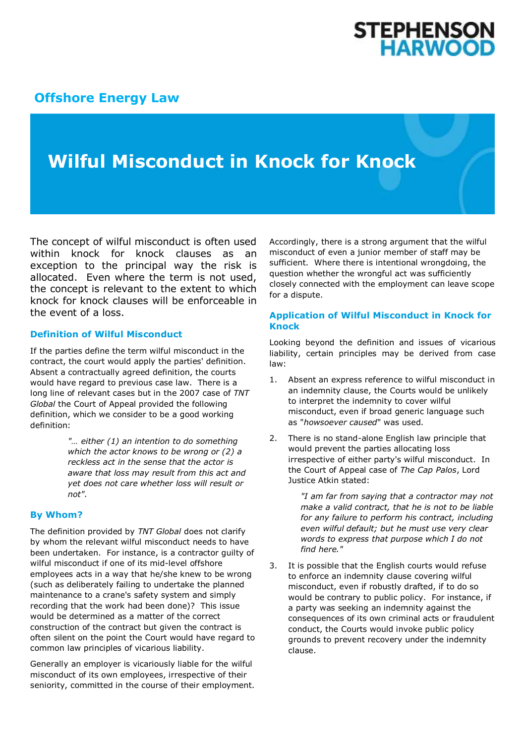# **STEPHENSON<br>HARWOOD**

### **[Offshore Energy Law](http://www.offshoreenergylaw.com/)**

## **Wilful Misconduct in Knock for Knock**

The concept of wilful misconduct is often used within knock for knock clauses as an exception to the principal way the risk is allocated. Even where the term is not used, the concept is relevant to the extent to which knock for knock clauses will be enforceable in the event of a loss.

#### **Definition of Wilful Misconduct**

If the parties define the term wilful misconduct in the contract, the court would apply the parties' definition. Absent a contractually agreed definition, the courts would have regard to previous case law. There is a long line of relevant cases but in the 2007 case of *TNT Global* the Court of Appeal provided the following definition, which we consider to be a good working definition:

> *"… either (1) an intention to do something which the actor knows to be wrong or (2) a reckless act in the sense that the actor is aware that loss may result from this act and yet does not care whether loss will result or not".*

#### **By Whom?**

The definition provided by *TNT Global* does not clarify by whom the relevant wilful misconduct needs to have been undertaken. For instance, is a contractor guilty of wilful misconduct if one of its mid-level offshore employees acts in a way that he/she knew to be wrong (such as deliberately failing to undertake the planned maintenance to a crane's safety system and simply recording that the work had been done)? This issue would be determined as a matter of the correct construction of the contract but given the contract is often silent on the point the Court would have regard to common law principles of vicarious liability.

Generally an employer is vicariously liable for the wilful misconduct of its own employees, irrespective of their seniority, committed in the course of their employment. Accordingly, there is a strong argument that the wilful misconduct of even a junior member of staff may be sufficient. Where there is intentional wrongdoing, the question whether the wrongful act was sufficiently closely connected with the employment can leave scope for a dispute.

#### **Application of Wilful Misconduct in Knock for Knock**

Looking beyond the definition and issues of vicarious liability, certain principles may be derived from case law:

- 1. Absent an express reference to wilful misconduct in an indemnity clause, the Courts would be unlikely to interpret the indemnity to cover wilful misconduct, even if broad generic language such as "*howsoever caused*" was used.
- 2. There is no stand-alone English law principle that would prevent the parties allocating loss irrespective of either party's wilful misconduct. In the Court of Appeal case of *The Cap Palos*, Lord Justice Atkin stated:

*"I am far from saying that a contractor may not make a valid contract, that he is not to be liable for any failure to perform his contract, including even wilful default; but he must use very clear words to express that purpose which I do not find here."*

3. It is possible that the English courts would refuse to enforce an indemnity clause covering wilful misconduct, even if robustly drafted, if to do so would be contrary to public policy. For instance, if a party was seeking an indemnity against the consequences of its own criminal acts or fraudulent conduct, the Courts would invoke public policy grounds to prevent recovery under the indemnity clause.